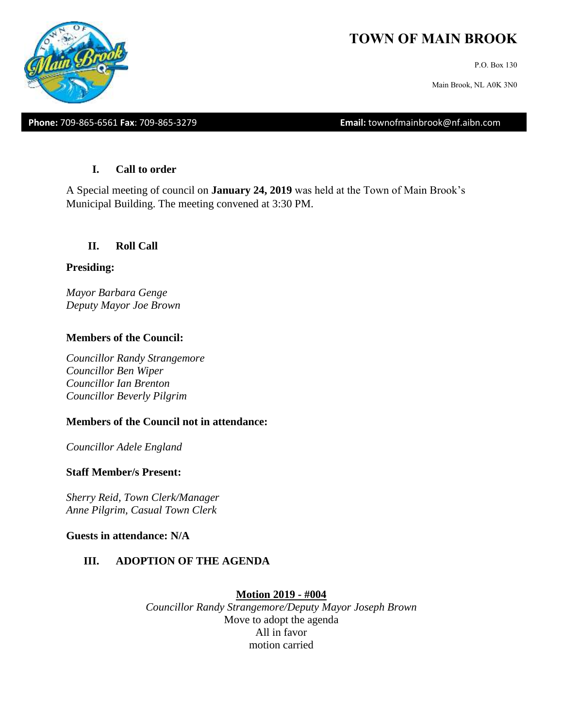

P.O. Box 130

Main Brook, NL A0K 3N0

**Phone:** 709-865-6561 **Fax**: 709-865-3279 **Email:** townofmainbrook@nf.aibn.com

#### **I. Call to order**

A Special meeting of council on **January 24, 2019** was held at the Town of Main Brook's Municipal Building. The meeting convened at 3:30 PM.

### **II. Roll Call**

#### **Presiding:**

*Mayor Barbara Genge Deputy Mayor Joe Brown*

### **Members of the Council:**

*Councillor Randy Strangemore Councillor Ben Wiper Councillor Ian Brenton Councillor Beverly Pilgrim*

### **Members of the Council not in attendance:**

*Councillor Adele England*

### **Staff Member/s Present:**

*Sherry Reid, Town Clerk/Manager Anne Pilgrim, Casual Town Clerk*

**Guests in attendance: N/A**

## **III. ADOPTION OF THE AGENDA**

### **Motion 2019 - #004**

*Councillor Randy Strangemore/Deputy Mayor Joseph Brown* Move to adopt the agenda All in favor motion carried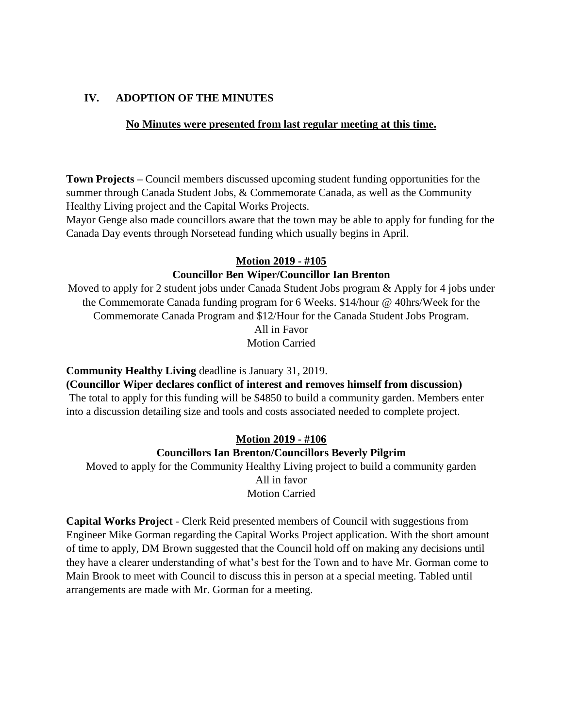# **IV. ADOPTION OF THE MINUTES**

## **No Minutes were presented from last regular meeting at this time.**

**Town Projects –** Council members discussed upcoming student funding opportunities for the summer through Canada Student Jobs, & Commemorate Canada, as well as the Community Healthy Living project and the Capital Works Projects.

Mayor Genge also made councillors aware that the town may be able to apply for funding for the Canada Day events through Norsetead funding which usually begins in April.

# **Motion 2019 - #105**

### **Councillor Ben Wiper/Councillor Ian Brenton**

Moved to apply for 2 student jobs under Canada Student Jobs program & Apply for 4 jobs under the Commemorate Canada funding program for 6 Weeks. \$14/hour @ 40hrs/Week for the Commemorate Canada Program and \$12/Hour for the Canada Student Jobs Program. All in Favor

Motion Carried

### **Community Healthy Living** deadline is January 31, 2019.

**(Councillor Wiper declares conflict of interest and removes himself from discussion)**

The total to apply for this funding will be \$4850 to build a community garden. Members enter into a discussion detailing size and tools and costs associated needed to complete project.

## **Motion 2019 - #106**

### **Councillors Ian Brenton/Councillors Beverly Pilgrim**

Moved to apply for the Community Healthy Living project to build a community garden All in favor Motion Carried

**Capital Works Project** - Clerk Reid presented members of Council with suggestions from Engineer Mike Gorman regarding the Capital Works Project application. With the short amount of time to apply, DM Brown suggested that the Council hold off on making any decisions until they have a clearer understanding of what's best for the Town and to have Mr. Gorman come to Main Brook to meet with Council to discuss this in person at a special meeting. Tabled until arrangements are made with Mr. Gorman for a meeting.